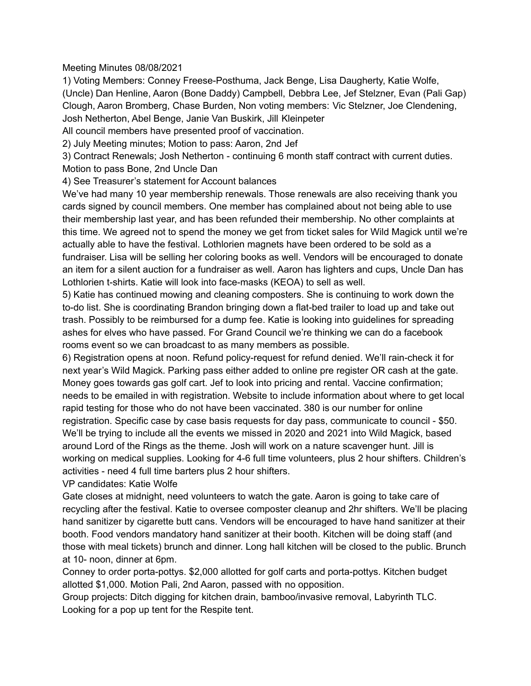## Meeting Minutes 08/08/2021

1) Voting Members: Conney Freese-Posthuma, Jack Benge, Lisa Daugherty, Katie Wolfe, (Uncle) Dan Henline, Aaron (Bone Daddy) Campbell, Debbra Lee, Jef Stelzner, Evan (Pali Gap) Clough, Aaron Bromberg, Chase Burden, Non voting members: Vic Stelzner, Joe Clendening, Josh Netherton, Abel Benge, Janie Van Buskirk, Jill Kleinpeter

All council members have presented proof of vaccination.

2) July Meeting minutes; Motion to pass: Aaron, 2nd Jef

3) Contract Renewals; Josh Netherton - continuing 6 month staff contract with current duties. Motion to pass Bone, 2nd Uncle Dan

4) See Treasurer's statement for Account balances

We've had many 10 year membership renewals. Those renewals are also receiving thank you cards signed by council members. One member has complained about not being able to use their membership last year, and has been refunded their membership. No other complaints at this time. We agreed not to spend the money we get from ticket sales for Wild Magick until we're actually able to have the festival. Lothlorien magnets have been ordered to be sold as a fundraiser. Lisa will be selling her coloring books as well. Vendors will be encouraged to donate an item for a silent auction for a fundraiser as well. Aaron has lighters and cups, Uncle Dan has Lothlorien t-shirts. Katie will look into face-masks (KEOA) to sell as well.

5) Katie has continued mowing and cleaning composters. She is continuing to work down the to-do list. She is coordinating Brandon bringing down a flat-bed trailer to load up and take out trash. Possibly to be reimbursed for a dump fee. Katie is looking into guidelines for spreading ashes for elves who have passed. For Grand Council we're thinking we can do a facebook rooms event so we can broadcast to as many members as possible.

6) Registration opens at noon. Refund policy-request for refund denied. We'll rain-check it for next year's Wild Magick. Parking pass either added to online pre register OR cash at the gate. Money goes towards gas golf cart. Jef to look into pricing and rental. Vaccine confirmation; needs to be emailed in with registration. Website to include information about where to get local rapid testing for those who do not have been vaccinated. 380 is our number for online registration. Specific case by case basis requests for day pass, communicate to council - \$50. We'll be trying to include all the events we missed in 2020 and 2021 into Wild Magick, based around Lord of the Rings as the theme. Josh will work on a nature scavenger hunt. Jill is working on medical supplies. Looking for 4-6 full time volunteers, plus 2 hour shifters. Children's activities - need 4 full time barters plus 2 hour shifters.

VP candidates: Katie Wolfe

Gate closes at midnight, need volunteers to watch the gate. Aaron is going to take care of recycling after the festival. Katie to oversee composter cleanup and 2hr shifters. We'll be placing hand sanitizer by cigarette butt cans. Vendors will be encouraged to have hand sanitizer at their booth. Food vendors mandatory hand sanitizer at their booth. Kitchen will be doing staff (and those with meal tickets) brunch and dinner. Long hall kitchen will be closed to the public. Brunch at 10- noon, dinner at 6pm.

Conney to order porta-pottys. \$2,000 allotted for golf carts and porta-pottys. Kitchen budget allotted \$1,000. Motion Pali, 2nd Aaron, passed with no opposition.

Group projects: Ditch digging for kitchen drain, bamboo/invasive removal, Labyrinth TLC. Looking for a pop up tent for the Respite tent.